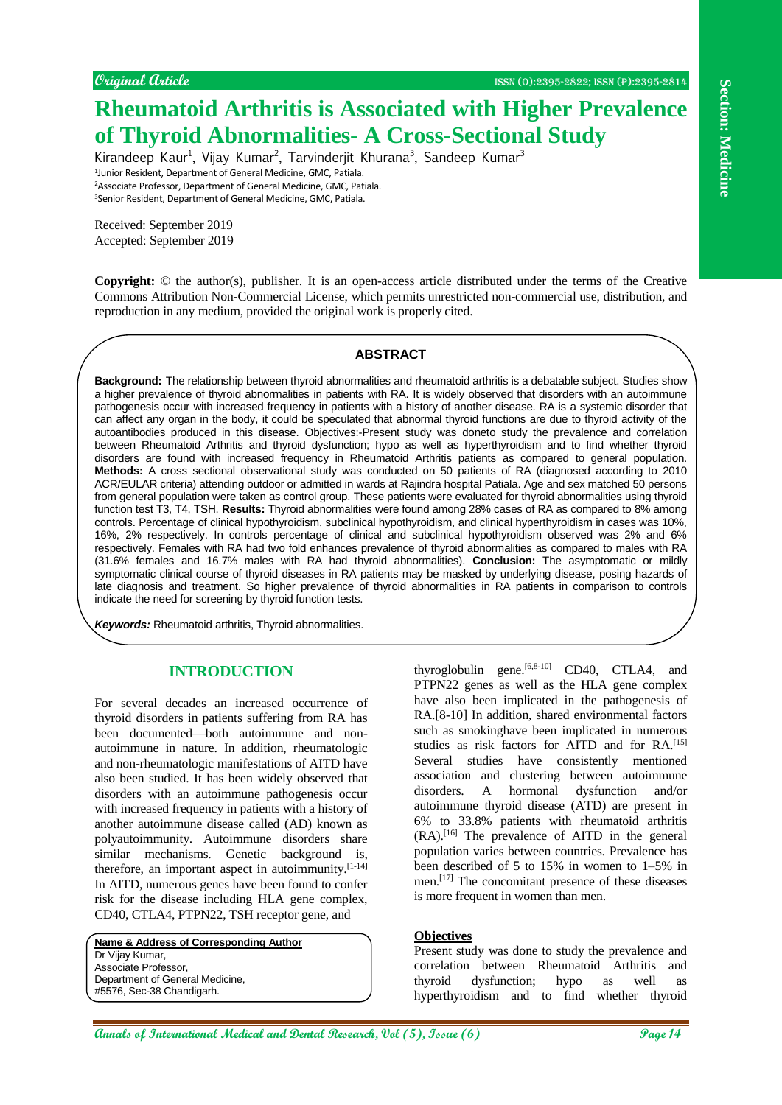# **Rheumatoid Arthritis is Associated with Higher Prevalence of Thyroid Abnormalities- A Cross-Sectional Study**

Kirandeep Kaur<sup>1</sup>, Vijay Kumar<sup>2</sup>, Tarvinderjit Khurana<sup>3</sup>, Sandeep Kumar<sup>3</sup> 1 Junior Resident, Department of General Medicine, GMC, Patiala. <sup>2</sup>Associate Professor, Department of General Medicine, GMC, Patiala. <sup>3</sup>Senior Resident, Department of General Medicine, GMC, Patiala.

Received: September 2019 Accepted: September 2019

**Copyright:** © the author(s), publisher. It is an open-access article distributed under the terms of the Creative Commons Attribution Non-Commercial License, which permits unrestricted non-commercial use, distribution, and reproduction in any medium, provided the original work is properly cited.

## **ABSTRACT**

**APACIFIC CONSULTER CONTINUES ASSOCIATED WAS EXAMPLE PPCYCRED CONTINUES AND CONTINUES ARE CONSULTER CONSULTER CONSULTER CONSULTER CONSULTER CONSULTER CONSULTER CONSULTER CONSULTER CONSULTER CONSULTER CONSULTER CONSULTER CO Background:** The relationship between thyroid abnormalities and rheumatoid arthritis is a debatable subject. Studies show a higher prevalence of thyroid abnormalities in patients with RA. It is widely observed that disorders with an autoimmune pathogenesis occur with increased frequency in patients with a history of another disease. RA is a systemic disorder that can affect any organ in the body, it could be speculated that abnormal thyroid functions are due to thyroid activity of the autoantibodies produced in this disease. Objectives:-Present study was doneto study the prevalence and correlation between Rheumatoid Arthritis and thyroid dysfunction; hypo as well as hyperthyroidism and to find whether thyroid disorders are found with increased frequency in Rheumatoid Arthritis patients as compared to general population. **Methods:** A cross sectional observational study was conducted on 50 patients of RA (diagnosed according to 2010 ACR/EULAR criteria) attending outdoor or admitted in wards at Rajindra hospital Patiala. Age and sex matched 50 persons from general population were taken as control group. These patients were evaluated for thyroid abnormalities using thyroid function test T3, T4, TSH. **Results:** Thyroid abnormalities were found among 28% cases of RA as compared to 8% among controls. Percentage of clinical hypothyroidism, subclinical hypothyroidism, and clinical hyperthyroidism in cases was 10%, 16%, 2% respectively. In controls percentage of clinical and subclinical hypothyroidism observed was 2% and 6% respectively. Females with RA had two fold enhances prevalence of thyroid abnormalities as compared to males with RA (31.6% females and 16.7% males with RA had thyroid abnormalities). **Conclusion:** The asymptomatic or mildly symptomatic clinical course of thyroid diseases in RA patients may be masked by underlying disease, posing hazards of late diagnosis and treatment. So higher prevalence of thyroid abnormalities in RA patients in comparison to controls indicate the need for screening by thyroid function tests.

*Keywords:* Rheumatoid arthritis, Thyroid abnormalities.

# **INTRODUCTION**

For several decades an increased occurrence of thyroid disorders in patients suffering from RA has been documented—both autoimmune and nonautoimmune in nature. In addition, rheumatologic and non-rheumatologic manifestations of AITD have also been studied. It has been widely observed that disorders with an autoimmune pathogenesis occur with increased frequency in patients with a history of another autoimmune disease called (AD) known as polyautoimmunity. Autoimmune disorders share similar mechanisms. Genetic background is, therefore, an important aspect in autoimmunity.[1-14] In AITD, numerous genes have been found to confer risk for the disease including HLA gene complex, CD40, CTLA4, PTPN22, TSH receptor gene, and

**Name & Address of Corresponding Author** Dr Vijay Kumar, Associate Professor, Department of General Medicine, #5576, Sec-38 Chandigarh.

thyroglobulin gene. $[6,8-10]$  CD40, CTLA4, and PTPN22 genes as well as the HLA gene complex have also been implicated in the pathogenesis of RA.[8-10] In addition, shared environmental factors such as smokinghave been implicated in numerous studies as risk factors for AITD and for RA.<sup>[15]</sup> Several studies have consistently mentioned association and clustering between autoimmune disorders. A hormonal dysfunction and/or autoimmune thyroid disease (ATD) are present in 6% to 33.8% patients with rheumatoid arthritis (RA).[16] The prevalence of AITD in the general population varies between countries. Prevalence has been described of 5 to 15% in women to 1–5% in men.[17] The concomitant presence of these diseases is more frequent in women than men.

#### **Objectives**

Present study was done to study the prevalence and correlation between Rheumatoid Arthritis and thyroid dysfunction; hypo as well as hyperthyroidism and to find whether thyroid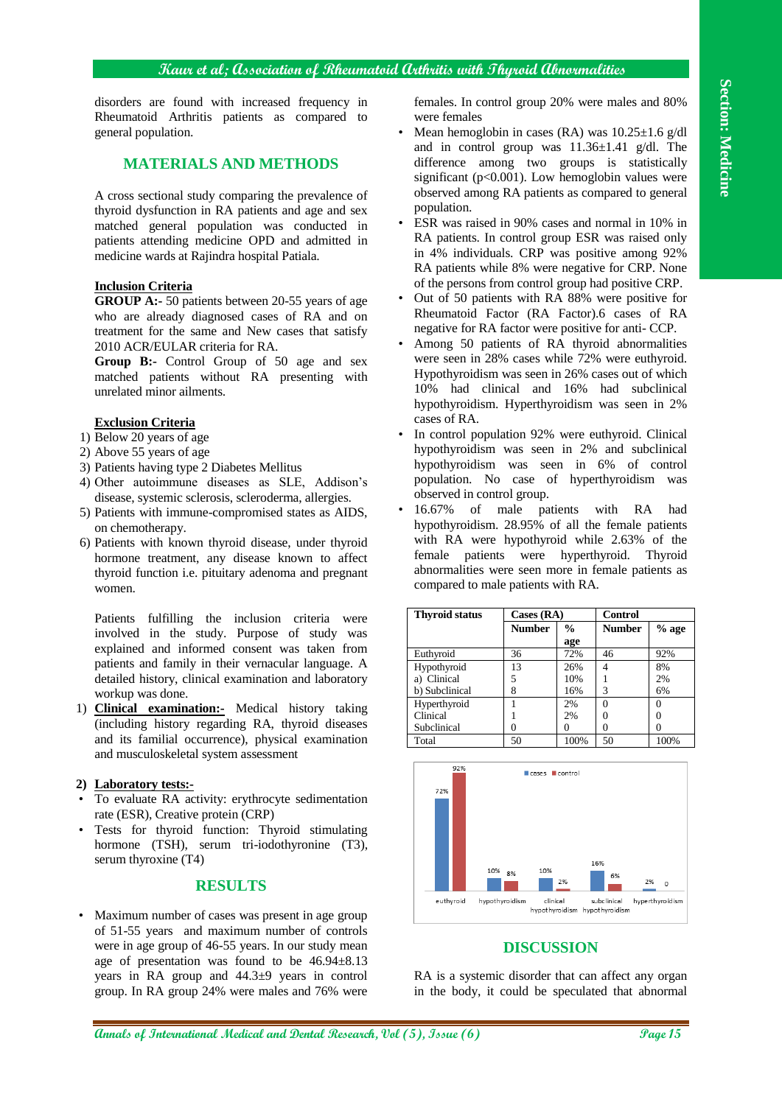# **Kaur et al; Association of Rheumatoid Arthritis with Thyroid Abnormalities**

disorders are found with increased frequency in Rheumatoid Arthritis patients as compared to general population.

# **MATERIALS AND METHODS**

A cross sectional study comparing the prevalence of thyroid dysfunction in RA patients and age and sex matched general population was conducted in patients attending medicine OPD and admitted in medicine wards at Rajindra hospital Patiala.

#### **Inclusion Criteria**

**GROUP A:-** 50 patients between 20-55 years of age who are already diagnosed cases of RA and on treatment for the same and New cases that satisfy 2010 ACR/EULAR criteria for RA.

**Group B:-** Control Group of 50 age and sex matched patients without RA presenting with unrelated minor ailments.

## **Exclusion Criteria**

- 1) Below 20 years of age
- 2) Above 55 years of age
- 3) Patients having type 2 Diabetes Mellitus
- 4) Other autoimmune diseases as SLE, Addison's disease, systemic sclerosis, scleroderma, allergies.
- 5) Patients with immune-compromised states as AIDS, on chemotherapy.
- 6) Patients with known thyroid disease, under thyroid hormone treatment, any disease known to affect thyroid function i.e. pituitary adenoma and pregnant women.

Patients fulfilling the inclusion criteria were involved in the study. Purpose of study was explained and informed consent was taken from patients and family in their vernacular language. A detailed history, clinical examination and laboratory workup was done.

1) **Clinical examination:-** Medical history taking (including history regarding RA, thyroid diseases and its familial occurrence), physical examination and musculoskeletal system assessment

#### **2) Laboratory tests:-**

- To evaluate RA activity: erythrocyte sedimentation rate (ESR), Creative protein (CRP)
- Tests for thyroid function: Thyroid stimulating hormone (TSH), serum tri-iodothyronine (T3), serum thyroxine (T4)

## **RESULTS**

• Maximum number of cases was present in age group of 51-55 years and maximum number of controls were in age group of 46-55 years. In our study mean age of presentation was found to be 46.94±8.13 years in RA group and 44.3±9 years in control group. In RA group 24% were males and 76% were

females. In control group 20% were males and 80% were females

- Mean hemoglobin in cases (RA) was  $10.25 \pm 1.6$  g/dl and in control group was 11.36±1.41 g/dl. The difference among two groups is statistically significant ( $p<0.001$ ). Low hemoglobin values were observed among RA patients as compared to general population.
- ESR was raised in 90% cases and normal in 10% in RA patients. In control group ESR was raised only in 4% individuals. CRP was positive among 92% RA patients while 8% were negative for CRP. None of the persons from control group had positive CRP.
- Out of 50 patients with RA 88% were positive for Rheumatoid Factor (RA Factor).6 cases of RA negative for RA factor were positive for anti- CCP.
- Among 50 patients of RA thyroid abnormalities were seen in 28% cases while 72% were euthyroid. Hypothyroidism was seen in 26% cases out of which 10% had clinical and 16% had subclinical hypothyroidism. Hyperthyroidism was seen in 2% cases of RA.
- In control population 92% were euthyroid. Clinical hypothyroidism was seen in 2% and subclinical hypothyroidism was seen in 6% of control population. No case of hyperthyroidism was observed in control group.
- 16.67% of male patients with RA had hypothyroidism. 28.95% of all the female patients with RA were hypothyroid while 2.63% of the female patients were hyperthyroid. Thyroid abnormalities were seen more in female patients as compared to male patients with RA.

| <b>Thyroid status</b> | $\text{Cases} (\text{RA})$ |               | <b>Control</b> |         |
|-----------------------|----------------------------|---------------|----------------|---------|
|                       | <b>Number</b>              | $\frac{0}{0}$ | <b>Number</b>  | $%$ age |
|                       |                            | age           |                |         |
| Euthyroid             | 36                         | 72%           | 46             | 92%     |
| Hypothyroid           | 13                         | 26%           |                | 8%      |
| a) Clinical           | 5                          | 10%           |                | 2%      |
| b) Subclinical        | 8                          | 16%           | 3              | 6%      |
| Hyperthyroid          |                            | 2%            | 0              | 0       |
| Clinical              |                            | 2%            |                |         |
| Subclinical           |                            |               |                |         |
| Total                 | 50                         | 100%          | 50             | 100%    |



### **DISCUSSION**

RA is a systemic disorder that can affect any organ in the body, it could be speculated that abnormal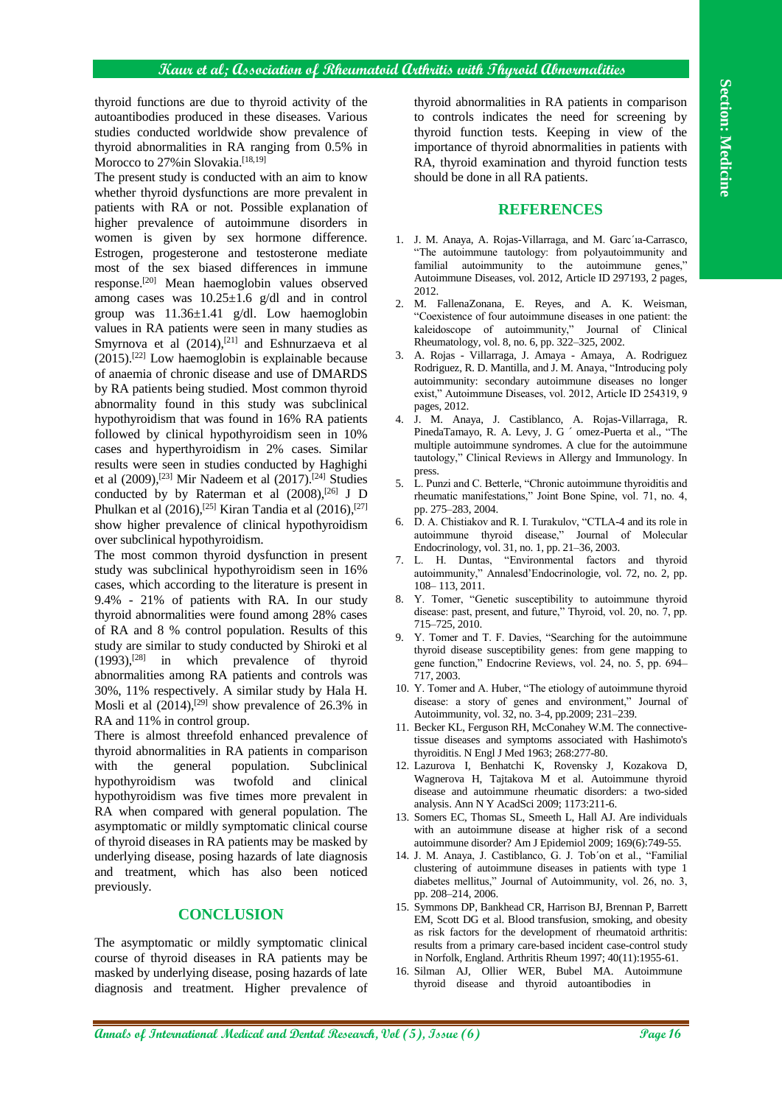## **Kaur et al; Association of Rheumatoid Arthritis with Thyroid Abnormalities**

thyroid functions are due to thyroid activity of the autoantibodies produced in these diseases. Various studies conducted worldwide show prevalence of thyroid abnormalities in RA ranging from 0.5% in Morocco to 27% in Slovakia.<sup>[18,19]</sup>

The present study is conducted with an aim to know whether thyroid dysfunctions are more prevalent in patients with RA or not. Possible explanation of higher prevalence of autoimmune disorders in women is given by sex hormone difference. Estrogen, progesterone and testosterone mediate most of the sex biased differences in immune response.[20] Mean haemoglobin values observed among cases was  $10.25 \pm 1.6$  g/dl and in control group was 11.36±1.41 g/dl. Low haemoglobin values in RA patients were seen in many studies as Smyrnova et al  $(2014),$ <sup>[21]</sup> and Eshnurzaeva et al  $(2015)$ .<sup>[22]</sup> Low haemoglobin is explainable because of anaemia of chronic disease and use of DMARDS by RA patients being studied. Most common thyroid abnormality found in this study was subclinical hypothyroidism that was found in 16% RA patients followed by clinical hypothyroidism seen in 10% cases and hyperthyroidism in 2% cases. Similar results were seen in studies conducted by Haghighi et al (2009), [23] Mir Nadeem et al (2017). [24] Studies conducted by by Raterman et al  $(2008)$ ,  $[26]$  J D Phulkan et al  $(2016)$ , <sup>[25]</sup> Kiran Tandia et al  $(2016)$ , <sup>[27]</sup> show higher prevalence of clinical hypothyroidism over subclinical hypothyroidism.

The most common thyroid dysfunction in present study was subclinical hypothyroidism seen in 16% cases, which according to the literature is present in 9.4% - 21% of patients with RA. In our study thyroid abnormalities were found among 28% cases of RA and 8 % control population. Results of this study are similar to study conducted by Shiroki et al (1993), [28] in which prevalence of thyroid abnormalities among RA patients and controls was 30%, 11% respectively. A similar study by Hala H. Mosli et al  $(2014)$ ,  $[29]$  show prevalence of 26.3% in RA and 11% in control group.

There is almost threefold enhanced prevalence of thyroid abnormalities in RA patients in comparison with the general population. Subclinical hypothyroidism was twofold and clinical hypothyroidism was five times more prevalent in RA when compared with general population. The asymptomatic or mildly symptomatic clinical course of thyroid diseases in RA patients may be masked by underlying disease, posing hazards of late diagnosis and treatment, which has also been noticed previously.

# **CONCLUSION**

The asymptomatic or mildly symptomatic clinical course of thyroid diseases in RA patients may be masked by underlying disease, posing hazards of late diagnosis and treatment. Higher prevalence of thyroid abnormalities in RA patients in comparison to controls indicates the need for screening by thyroid function tests. Keeping in view of the importance of thyroid abnormalities in patients with RA, thyroid examination and thyroid function tests should be done in all RA patients.

#### **REFERENCES**

- 1. J. M. Anaya, A. Rojas-Villarraga, and M. Garc´ıa-Carrasco, "The autoimmune tautology: from polyautoimmunity and familial autoimmunity to the autoimmune genes," Autoimmune Diseases, vol. 2012, Article ID 297193, 2 pages, 2012.
- 2. M. FallenaZonana, E. Reyes, and A. K. Weisman, "Coexistence of four autoimmune diseases in one patient: the kaleidoscope of autoimmunity," Journal of Clinical Rheumatology, vol. 8, no. 6, pp. 322–325, 2002.
- 3. A. Rojas Villarraga, J. Amaya Amaya, A. Rodriguez Rodriguez, R. D. Mantilla, and J. M. Anaya, "Introducing poly autoimmunity: secondary autoimmune diseases no longer exist," Autoimmune Diseases, vol. 2012, Article ID 254319, 9 pages, 2012.
- 4. J. M. Anaya, J. Castiblanco, A. Rojas-Villarraga, R. PinedaTamayo, R. A. Levy, J. G ´ omez-Puerta et al., "The multiple autoimmune syndromes. A clue for the autoimmune tautology," Clinical Reviews in Allergy and Immunology. In press.
- 5. L. Punzi and C. Betterle, "Chronic autoimmune thyroiditis and rheumatic manifestations," Joint Bone Spine, vol. 71, no. 4, pp. 275–283, 2004.
- 6. D. A. Chistiakov and R. I. Turakulov, "CTLA-4 and its role in autoimmune thyroid disease," Journal of Molecular Endocrinology, vol. 31, no. 1, pp. 21–36, 2003.
- 7. L. H. Duntas, "Environmental factors and thyroid autoimmunity," Annalesd'Endocrinologie, vol. 72, no. 2, pp. 108– 113, 2011.
- 8. Y. Tomer, "Genetic susceptibility to autoimmune thyroid disease: past, present, and future," Thyroid, vol. 20, no. 7, pp. 715–725, 2010.
- 9. Y. Tomer and T. F. Davies, "Searching for the autoimmune thyroid disease susceptibility genes: from gene mapping to gene function," Endocrine Reviews, vol. 24, no. 5, pp. 694– 717, 2003.
- 10. Y. Tomer and A. Huber, "The etiology of autoimmune thyroid disease: a story of genes and environment," Journal of Autoimmunity, vol. 32, no. 3-4, pp.2009; 231–239.
- 11. Becker KL, Ferguson RH, McConahey W.M. The connectivetissue diseases and symptoms associated with Hashimoto's thyroiditis. N Engl J Med 1963; 268:277-80.
- 12. Lazurova I, Benhatchi K, Rovensky J, Kozakova D, Wagnerova H, Tajtakova M et al. Autoimmune thyroid disease and autoimmune rheumatic disorders: a two-sided analysis. Ann N Y AcadSci 2009; 1173:211-6.
- 13. Somers EC, Thomas SL, Smeeth L, Hall AJ. Are individuals with an autoimmune disease at higher risk of a second autoimmune disorder? Am J Epidemiol 2009; 169(6):749-55.
- 14. J. M. Anaya, J. Castiblanco, G. J. Tob´on et al., "Familial clustering of autoimmune diseases in patients with type 1 diabetes mellitus," Journal of Autoimmunity, vol. 26, no. 3, pp. 208–214, 2006.
- 15. Symmons DP, Bankhead CR, Harrison BJ, Brennan P, Barrett EM, Scott DG et al. Blood transfusion, smoking, and obesity as risk factors for the development of rheumatoid arthritis: results from a primary care-based incident case-control study in Norfolk, England. Arthritis Rheum 1997; 40(11):1955-61.
- 16. Silman AJ, Ollier WER, Bubel MA. Autoimmune thyroid disease and thyroid autoantibodies in